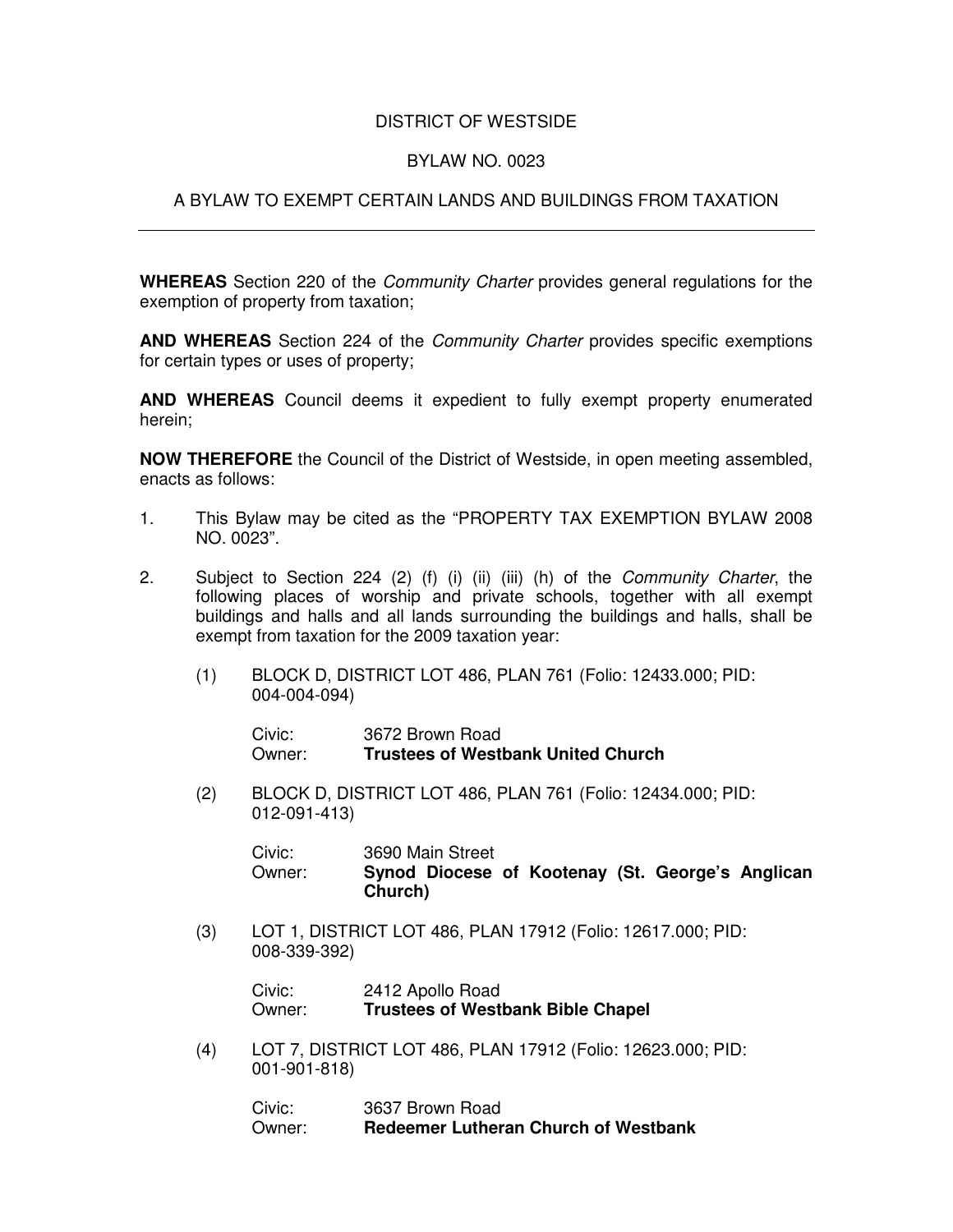## DISTRICT OF WESTSIDE

## BYLAW NO. 0023

## A BYLAW TO EXEMPT CERTAIN LANDS AND BUILDINGS FROM TAXATION

**WHEREAS** Section 220 of the *Community Charter* provides general regulations for the exemption of property from taxation;

**AND WHEREAS** Section 224 of the *Community Charter* provides specific exemptions for certain types or uses of property;

**AND WHEREAS** Council deems it expedient to fully exempt property enumerated herein;

**NOW THEREFORE** the Council of the District of Westside, in open meeting assembled, enacts as follows:

- 1. This Bylaw may be cited as the "PROPERTY TAX EXEMPTION BYLAW 2008 NO. 0023".
- 2. Subject to Section 224 (2) (f) (i) (ii) (iii) (h) of the *Community Charter*, the following places of worship and private schools, together with all exempt buildings and halls and all lands surrounding the buildings and halls, shall be exempt from taxation for the 2009 taxation year:
	- (1) BLOCK D, DISTRICT LOT 486, PLAN 761 (Folio: 12433.000; PID: 004-004-094)

| Civic: | 3672 Brown Road                           |
|--------|-------------------------------------------|
| Owner: | <b>Trustees of Westbank United Church</b> |

(2) BLOCK D, DISTRICT LOT 486, PLAN 761 (Folio: 12434.000; PID: 012-091-413)

Civic: 3690 Main Street Owner: **Synod Diocese of Kootenay (St. George's Anglican Church)**

(3) LOT 1, DISTRICT LOT 486, PLAN 17912 (Folio: 12617.000; PID: 008-339-392)

Civic: 2412 Apollo Road Owner: **Trustees of Westbank Bible Chapel**

(4) LOT 7, DISTRICT LOT 486, PLAN 17912 (Folio: 12623.000; PID: 001-901-818)

Civic: 3637 Brown Road Owner: **Redeemer Lutheran Church of Westbank**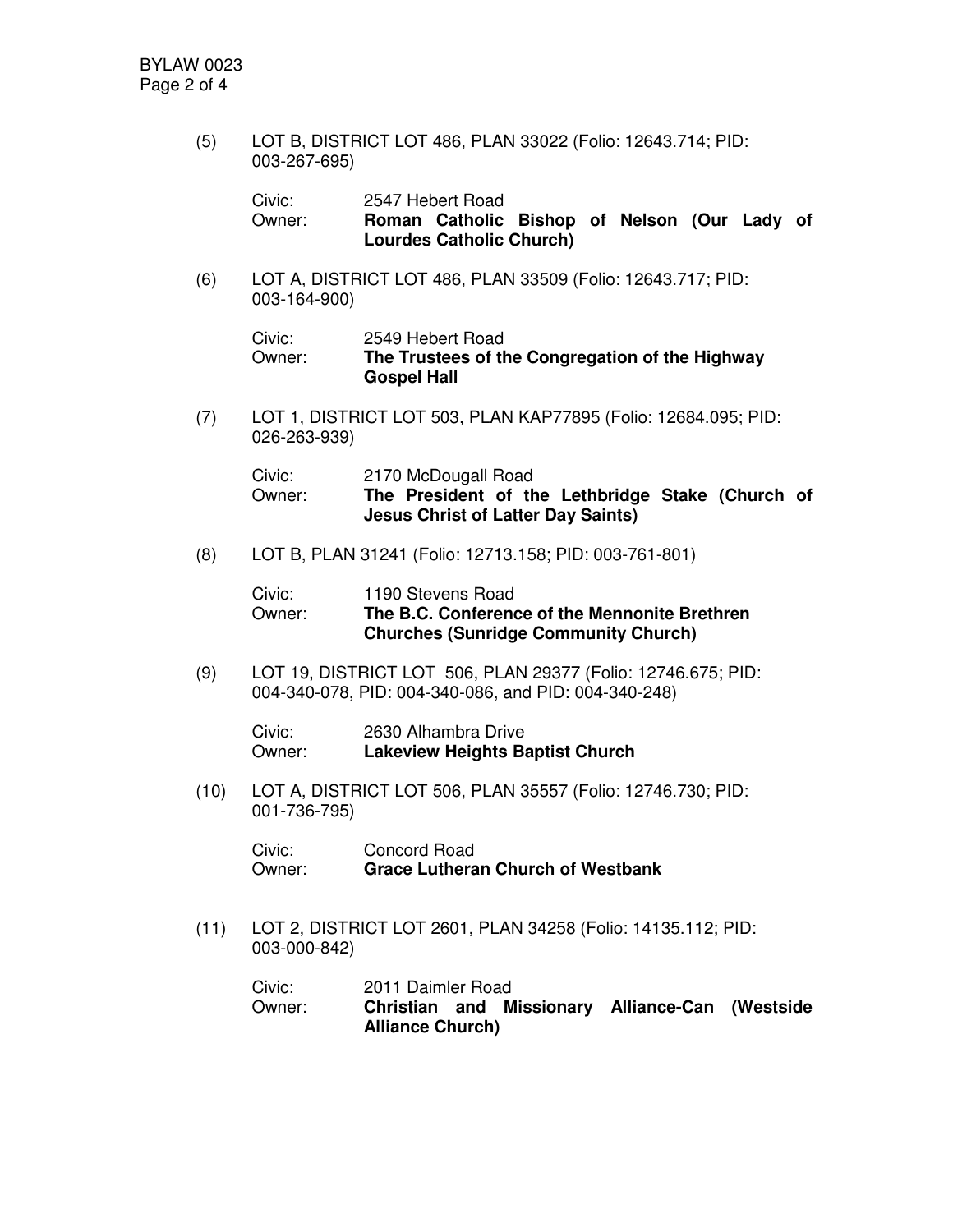(5) LOT B, DISTRICT LOT 486, PLAN 33022 (Folio: 12643.714; PID: 003-267-695)

| Civic: | 2547 Hebert Road                             |  |  |  |
|--------|----------------------------------------------|--|--|--|
| Owner: | Roman Catholic Bishop of Nelson (Our Lady of |  |  |  |
|        | <b>Lourdes Catholic Church)</b>              |  |  |  |

(6) LOT A, DISTRICT LOT 486, PLAN 33509 (Folio: 12643.717; PID: 003-164-900)

| Civic: | 2549 Hebert Road                                |
|--------|-------------------------------------------------|
| Owner: | The Trustees of the Congregation of the Highway |
|        | <b>Gospel Hall</b>                              |

(7) LOT 1, DISTRICT LOT 503, PLAN KAP77895 (Folio: 12684.095; PID: 026-263-939)

| Civic: | 2170 McDougall Road                              |  |
|--------|--------------------------------------------------|--|
| Owner: | The President of the Lethbridge Stake (Church of |  |
|        | <b>Jesus Christ of Latter Day Saints)</b>        |  |

(8) LOT B, PLAN 31241 (Folio: 12713.158; PID: 003-761-801)

| Civic: | 1190 Stevens Road                             |
|--------|-----------------------------------------------|
| Owner: | The B.C. Conference of the Mennonite Brethren |
|        | <b>Churches (Sunridge Community Church)</b>   |

(9) LOT 19, DISTRICT LOT 506, PLAN 29377 (Folio: 12746.675; PID: 004-340-078, PID: 004-340-086, and PID: 004-340-248)

Civic: 2630 Alhambra Drive Owner: **Lakeview Heights Baptist Church**

(10) LOT A, DISTRICT LOT 506, PLAN 35557 (Folio: 12746.730; PID: 001-736-795)

| Civic: | Concord Road                             |
|--------|------------------------------------------|
| Owner: | <b>Grace Lutheran Church of Westbank</b> |

(11) LOT 2, DISTRICT LOT 2601, PLAN 34258 (Folio: 14135.112; PID: 003-000-842)

Civic: 2011 Daimler Road Owner: **Christian and Missionary Alliance-Can (Westside Alliance Church)**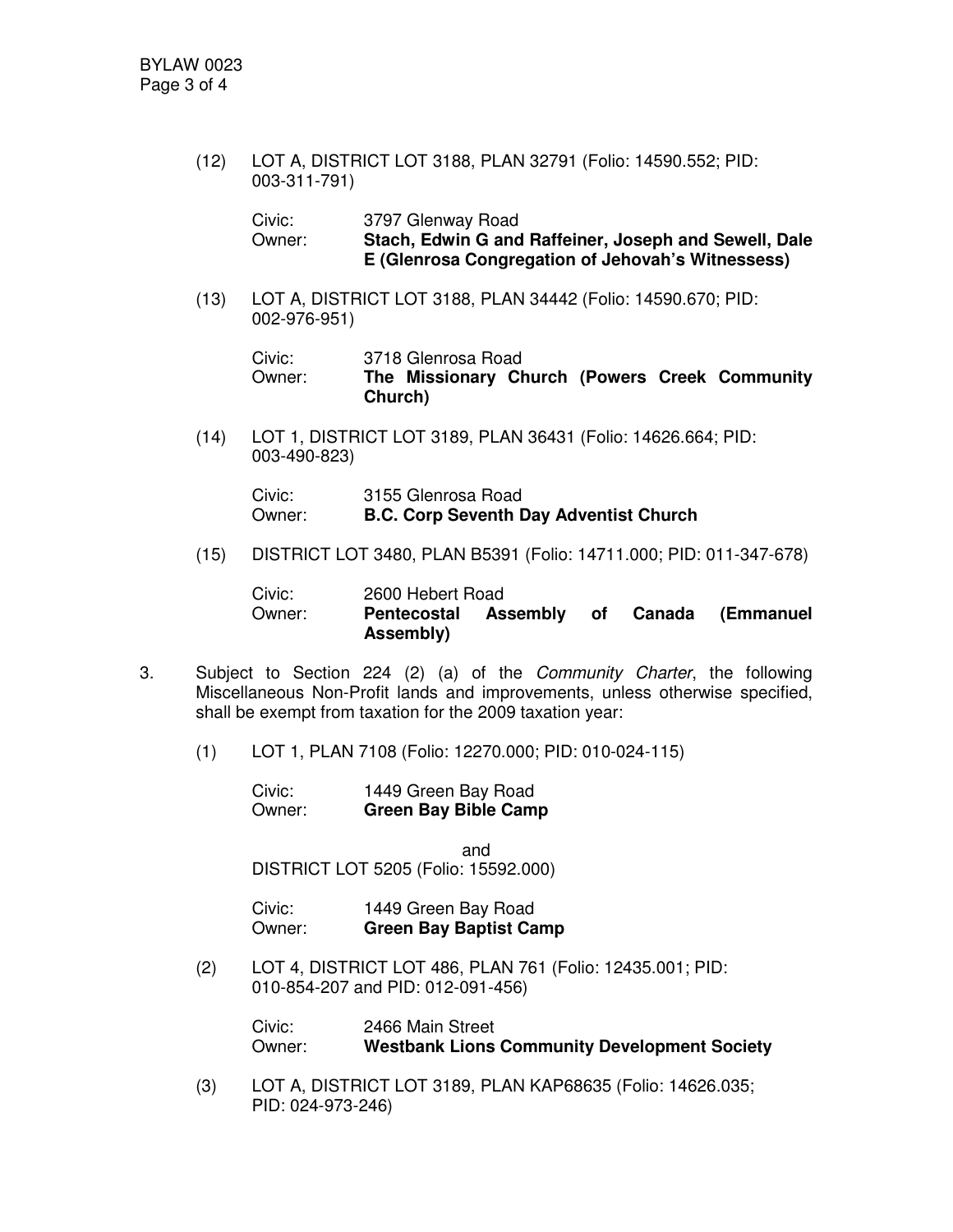(12) LOT A, DISTRICT LOT 3188, PLAN 32791 (Folio: 14590.552; PID: 003-311-791)

| Civic: | 3797 Glenway Road                                     |
|--------|-------------------------------------------------------|
| Owner: | Stach, Edwin G and Raffeiner, Joseph and Sewell, Dale |
|        | E (Glenrosa Congregation of Jehovah's Witnessess)     |

(13) LOT A, DISTRICT LOT 3188, PLAN 34442 (Folio: 14590.670; PID: 002-976-951)

Civic: 3718 Glenrosa Road

Owner: **The Missionary Church (Powers Creek Community Church)**

(14) LOT 1, DISTRICT LOT 3189, PLAN 36431 (Folio: 14626.664; PID: 003-490-823)

| Civic: | 3155 Glenrosa Road                            |
|--------|-----------------------------------------------|
| Owner: | <b>B.C. Corp Seventh Day Adventist Church</b> |

(15) DISTRICT LOT 3480, PLAN B5391 (Folio: 14711.000; PID: 011-347-678)

| Civic: | 2600 Hebert Road     |        |                  |
|--------|----------------------|--------|------------------|
| Owner: | Pentecostal Assembly | . of 1 | Canada (Emmanuel |
|        | Assembly)            |        |                  |

- 3. Subject to Section 224 (2) (a) of the *Community Charter*, the following Miscellaneous Non-Profit lands and improvements, unless otherwise specified, shall be exempt from taxation for the 2009 taxation year:
	- (1) LOT 1, PLAN 7108 (Folio: 12270.000; PID: 010-024-115)

Civic: 1449 Green Bay Road Owner: **Green Bay Bible Camp**

and DISTRICT LOT 5205 (Folio: 15592.000)

| Civic: | 1449 Green Bay Road           |
|--------|-------------------------------|
| Owner: | <b>Green Bay Baptist Camp</b> |

(2) LOT 4, DISTRICT LOT 486, PLAN 761 (Folio: 12435.001; PID: 010-854-207 and PID: 012-091-456)

> Civic: 2466 Main Street Owner: **Westbank Lions Community Development Society**

(3) LOT A, DISTRICT LOT 3189, PLAN KAP68635 (Folio: 14626.035; PID: 024-973-246)